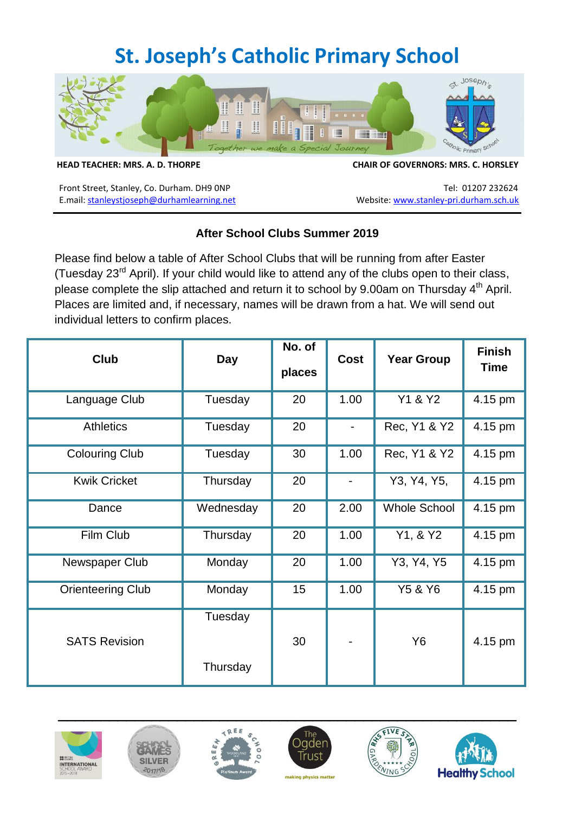## **St. Joseph's Catholic Primary School**



**HEAD TEACHER: MRS. A. D. THORPE CHAIR OF GOVERNORS: MRS. C. HORSLEY**

Front Street, Stanley, Co. Durham. DH9 0NP<br>E.mail: stanleystjoseph@durhamlearning.net Website: www.stanley-pri.durham.sch.uk E.mail: stanleystjoseph@durhamlearning.net

## **After School Clubs Summer 2019**

Please find below a table of After School Clubs that will be running from after Easter (Tuesday 23rd April). If your child would like to attend any of the clubs open to their class, please complete the slip attached and return it to school by 9.00am on Thursday 4<sup>th</sup> April. Places are limited and, if necessary, names will be drawn from a hat. We will send out individual letters to confirm places.

| <b>Club</b>              | <b>Day</b>          | No. of<br>places | <b>Cost</b>              | <b>Year Group</b>   | <b>Finish</b><br><b>Time</b> |
|--------------------------|---------------------|------------------|--------------------------|---------------------|------------------------------|
| Language Club            | Tuesday             | 20               | 1.00                     | Y1 & Y2             | 4.15 pm                      |
| <b>Athletics</b>         | Tuesday             | 20               |                          | Rec, Y1 & Y2        | 4.15 pm                      |
| <b>Colouring Club</b>    | Tuesday             | 30               | 1.00                     | Rec, Y1 & Y2        | 4.15 pm                      |
| <b>Kwik Cricket</b>      | Thursday            | 20               | $\overline{\phantom{a}}$ | Y3, Y4, Y5,         | 4.15 pm                      |
| Dance                    | Wednesday           | 20               | 2.00                     | <b>Whole School</b> | 4.15 pm                      |
| Film Club                | Thursday            | 20               | 1.00                     | Y1, & Y2            | 4.15 pm                      |
| Newspaper Club           | Monday              | 20               | 1.00                     | Y3, Y4, Y5          | 4.15 pm                      |
| <b>Orienteering Club</b> | Monday              | 15               | 1.00                     | Y5 & Y6             | 4.15 pm                      |
| <b>SATS Revision</b>     | Tuesday<br>Thursday | 30               |                          | Y6                  | 4.15 pm                      |